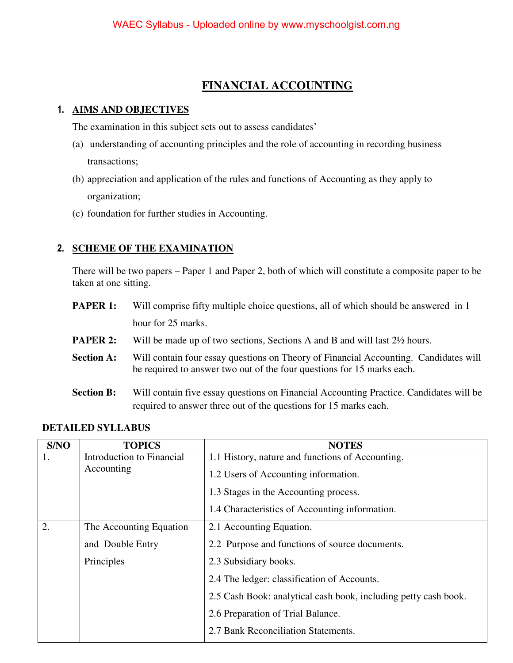## **FINANCIAL ACCOUNTING**

#### **1. AIMS AND OBJECTIVES**

The examination in this subject sets out to assess candidates'

- (a) understanding of accounting principles and the role of accounting in recording business transactions;
- (b) appreciation and application of the rules and functions of Accounting as they apply to organization;
- (c) foundation for further studies in Accounting.

### **2. SCHEME OF THE EXAMINATION**

There will be two papers – Paper 1 and Paper 2, both of which will constitute a composite paper to be taken at one sitting.

- **PAPER 1:** Will comprise fifty multiple choice questions, all of which should be answered in 1 hour for 25 marks.
- **PAPER 2:** Will be made up of two sections, Sections A and B and will last  $2\frac{1}{2}$  hours.
- **Section A:** Will contain four essay questions on Theory of Financial Accounting. Candidates will be required to answer two out of the four questions for 15 marks each.
- **Section B:** Will contain five essay questions on Financial Accounting Practice. Candidates will be required to answer three out of the questions for 15 marks each.

#### **DETAILED SYLLABUS**

| S/NO                          | <b>TOPICS</b>             | <b>NOTES</b>                                                    |  |
|-------------------------------|---------------------------|-----------------------------------------------------------------|--|
| 1.                            | Introduction to Financial | 1.1 History, nature and functions of Accounting.                |  |
|                               | Accounting                | 1.2 Users of Accounting information.                            |  |
|                               |                           | 1.3 Stages in the Accounting process.                           |  |
|                               |                           | 1.4 Characteristics of Accounting information.                  |  |
| 2.<br>The Accounting Equation |                           | 2.1 Accounting Equation.                                        |  |
|                               | and Double Entry          | 2.2 Purpose and functions of source documents.                  |  |
|                               | Principles                | 2.3 Subsidiary books.                                           |  |
|                               |                           | 2.4 The ledger: classification of Accounts.                     |  |
|                               |                           | 2.5 Cash Book: analytical cash book, including petty cash book. |  |
|                               |                           | 2.6 Preparation of Trial Balance.                               |  |
|                               |                           | 2.7 Bank Reconciliation Statements.                             |  |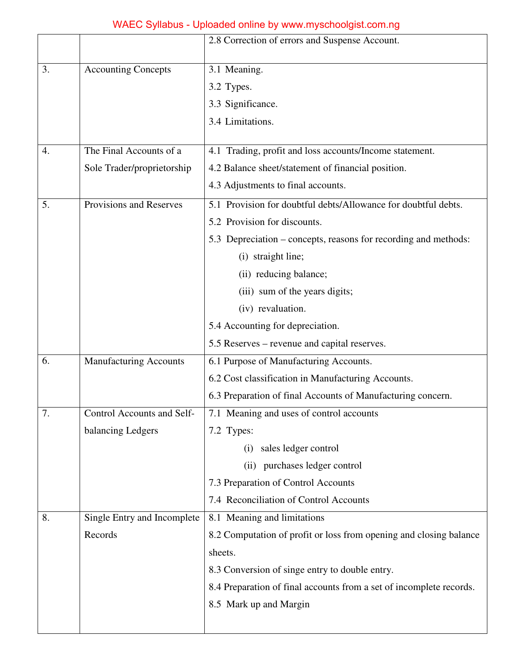|                               |                                   | 2.8 Correction of errors and Suspense Account.                      |  |
|-------------------------------|-----------------------------------|---------------------------------------------------------------------|--|
| 3.                            | <b>Accounting Concepts</b>        | 3.1 Meaning.                                                        |  |
|                               |                                   | 3.2 Types.                                                          |  |
|                               |                                   | 3.3 Significance.                                                   |  |
|                               |                                   | 3.4 Limitations.                                                    |  |
|                               |                                   |                                                                     |  |
| 4.                            | The Final Accounts of a           | 4.1 Trading, profit and loss accounts/Income statement.             |  |
|                               | Sole Trader/proprietorship        | 4.2 Balance sheet/statement of financial position.                  |  |
|                               |                                   | 4.3 Adjustments to final accounts.                                  |  |
| Provisions and Reserves<br>5. |                                   | 5.1 Provision for doubtful debts/Allowance for doubtful debts.      |  |
|                               |                                   | 5.2 Provision for discounts.                                        |  |
|                               |                                   | 5.3 Depreciation – concepts, reasons for recording and methods:     |  |
|                               |                                   | (i) straight line;                                                  |  |
|                               |                                   | (ii) reducing balance;                                              |  |
|                               |                                   | (iii) sum of the years digits;                                      |  |
|                               |                                   | (iv) revaluation.                                                   |  |
|                               |                                   | 5.4 Accounting for depreciation.                                    |  |
|                               |                                   | 5.5 Reserves – revenue and capital reserves.                        |  |
| 6.                            | Manufacturing Accounts            | 6.1 Purpose of Manufacturing Accounts.                              |  |
|                               |                                   | 6.2 Cost classification in Manufacturing Accounts.                  |  |
|                               |                                   | 6.3 Preparation of final Accounts of Manufacturing concern.         |  |
| 7.                            | <b>Control Accounts and Self-</b> | 7.1 Meaning and uses of control accounts                            |  |
|                               | balancing Ledgers                 | 7.2 Types:                                                          |  |
|                               |                                   | sales ledger control<br>(i)                                         |  |
|                               |                                   | purchases ledger control<br>(ii)                                    |  |
|                               |                                   | 7.3 Preparation of Control Accounts                                 |  |
|                               |                                   | 7.4 Reconciliation of Control Accounts                              |  |
| 8.                            | Single Entry and Incomplete       | 8.1 Meaning and limitations                                         |  |
|                               | Records                           | 8.2 Computation of profit or loss from opening and closing balance  |  |
|                               |                                   | sheets.                                                             |  |
|                               |                                   | 8.3 Conversion of singe entry to double entry.                      |  |
|                               |                                   | 8.4 Preparation of final accounts from a set of incomplete records. |  |
|                               |                                   | 8.5 Mark up and Margin                                              |  |
|                               |                                   |                                                                     |  |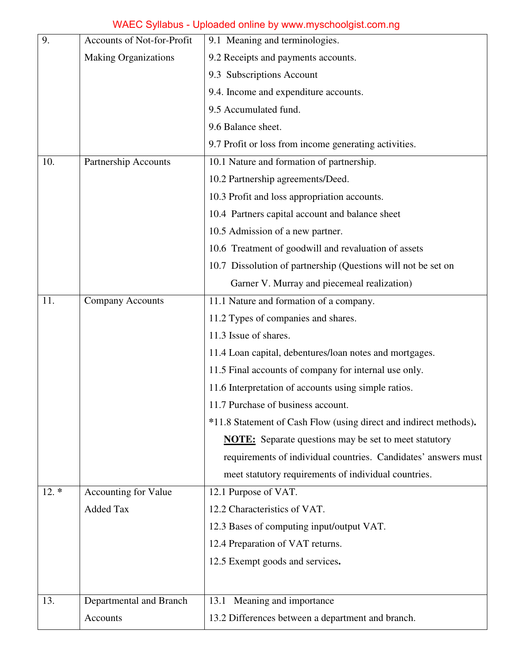| 9.                             | <b>Accounts of Not-for-Profit</b> | 9.1 Meaning and terminologies.                                    |  |
|--------------------------------|-----------------------------------|-------------------------------------------------------------------|--|
|                                | <b>Making Organizations</b>       | 9.2 Receipts and payments accounts.                               |  |
|                                |                                   | 9.3 Subscriptions Account                                         |  |
|                                |                                   | 9.4. Income and expenditure accounts.                             |  |
|                                |                                   | 9.5 Accumulated fund.                                             |  |
|                                |                                   | 9.6 Balance sheet.                                                |  |
|                                |                                   | 9.7 Profit or loss from income generating activities.             |  |
| 10.                            | Partnership Accounts              | 10.1 Nature and formation of partnership.                         |  |
|                                |                                   | 10.2 Partnership agreements/Deed.                                 |  |
|                                |                                   | 10.3 Profit and loss appropriation accounts.                      |  |
|                                |                                   | 10.4 Partners capital account and balance sheet                   |  |
|                                |                                   | 10.5 Admission of a new partner.                                  |  |
|                                |                                   | 10.6 Treatment of goodwill and revaluation of assets              |  |
|                                |                                   | 10.7 Dissolution of partnership (Questions will not be set on     |  |
|                                |                                   | Garner V. Murray and piecemeal realization)                       |  |
| 11.<br><b>Company Accounts</b> |                                   | 11.1 Nature and formation of a company.                           |  |
|                                |                                   | 11.2 Types of companies and shares.                               |  |
|                                |                                   | 11.3 Issue of shares.                                             |  |
|                                |                                   | 11.4 Loan capital, debentures/loan notes and mortgages.           |  |
|                                |                                   | 11.5 Final accounts of company for internal use only.             |  |
|                                |                                   | 11.6 Interpretation of accounts using simple ratios.              |  |
|                                |                                   | 11.7 Purchase of business account.                                |  |
|                                |                                   | *11.8 Statement of Cash Flow (using direct and indirect methods). |  |
|                                |                                   | <b>NOTE:</b> Separate questions may be set to meet statutory      |  |
|                                |                                   | requirements of individual countries. Candidates' answers must    |  |
|                                |                                   | meet statutory requirements of individual countries.              |  |
| $12.*$                         | Accounting for Value              | 12.1 Purpose of VAT.                                              |  |
|                                | <b>Added Tax</b>                  | 12.2 Characteristics of VAT.                                      |  |
|                                |                                   | 12.3 Bases of computing input/output VAT.                         |  |
|                                |                                   | 12.4 Preparation of VAT returns.                                  |  |
|                                |                                   | 12.5 Exempt goods and services.                                   |  |
|                                |                                   |                                                                   |  |
| 13.                            | Departmental and Branch           | Meaning and importance<br>13.1                                    |  |
|                                | Accounts                          | 13.2 Differences between a department and branch.                 |  |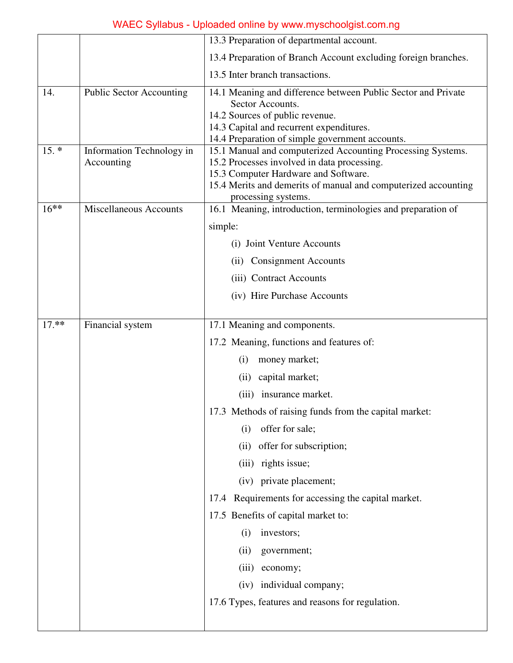|         |                                         | 13.3 Preparation of departmental account.                                                                                                                                                                                                   |  |
|---------|-----------------------------------------|---------------------------------------------------------------------------------------------------------------------------------------------------------------------------------------------------------------------------------------------|--|
|         |                                         | 13.4 Preparation of Branch Account excluding foreign branches.                                                                                                                                                                              |  |
|         |                                         | 13.5 Inter branch transactions.                                                                                                                                                                                                             |  |
| 14.     | <b>Public Sector Accounting</b>         | 14.1 Meaning and difference between Public Sector and Private<br>Sector Accounts.<br>14.2 Sources of public revenue.<br>14.3 Capital and recurrent expenditures.<br>14.4 Preparation of simple government accounts.                         |  |
| $15. *$ | Information Technology in<br>Accounting | 15.1 Manual and computerized Accounting Processing Systems.<br>15.2 Processes involved in data processing.<br>15.3 Computer Hardware and Software.<br>15.4 Merits and demerits of manual and computerized accounting<br>processing systems. |  |
| $16***$ | Miscellaneous Accounts                  | 16.1 Meaning, introduction, terminologies and preparation of                                                                                                                                                                                |  |
|         |                                         | simple:                                                                                                                                                                                                                                     |  |
|         |                                         | (i) Joint Venture Accounts<br><b>Consignment Accounts</b><br>(ii)<br>(iii) Contract Accounts                                                                                                                                                |  |
|         |                                         |                                                                                                                                                                                                                                             |  |
|         |                                         |                                                                                                                                                                                                                                             |  |
|         |                                         | (iv) Hire Purchase Accounts                                                                                                                                                                                                                 |  |
| 17.**   | Financial system                        | 17.1 Meaning and components.                                                                                                                                                                                                                |  |
|         |                                         | 17.2 Meaning, functions and features of:                                                                                                                                                                                                    |  |
|         |                                         | money market;<br>(i)                                                                                                                                                                                                                        |  |
|         |                                         | capital market;<br>(ii)                                                                                                                                                                                                                     |  |
|         |                                         | (iii) insurance market.                                                                                                                                                                                                                     |  |
|         |                                         | 17.3 Methods of raising funds from the capital market:                                                                                                                                                                                      |  |
|         |                                         | offer for sale;<br>(i)                                                                                                                                                                                                                      |  |
|         |                                         | offer for subscription;<br>(ii)                                                                                                                                                                                                             |  |
|         |                                         | rights issue;<br>(iii)                                                                                                                                                                                                                      |  |
|         |                                         | (iv) private placement;                                                                                                                                                                                                                     |  |
| 17.4    |                                         | Requirements for accessing the capital market.                                                                                                                                                                                              |  |
|         |                                         | 17.5 Benefits of capital market to:                                                                                                                                                                                                         |  |
|         |                                         | (i)<br>investors;                                                                                                                                                                                                                           |  |
|         |                                         | (ii)<br>government;                                                                                                                                                                                                                         |  |
|         |                                         | economy;<br>(iii)                                                                                                                                                                                                                           |  |
|         |                                         | (iv) individual company;                                                                                                                                                                                                                    |  |
|         |                                         | 17.6 Types, features and reasons for regulation.                                                                                                                                                                                            |  |
|         |                                         |                                                                                                                                                                                                                                             |  |